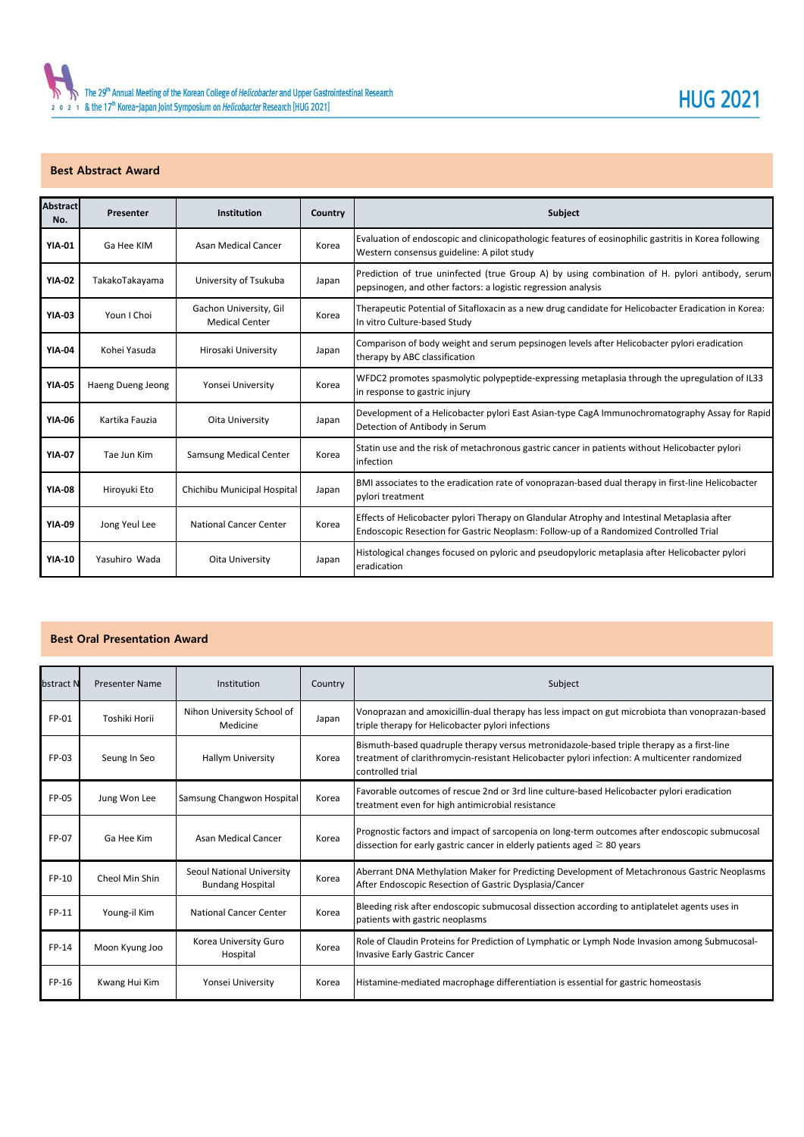## **Best Abstract Award**

| <b>Abstract</b><br>No. | Presenter         | Institution                                     | Country | <b>Subject</b>                                                                                                                                                                       |
|------------------------|-------------------|-------------------------------------------------|---------|--------------------------------------------------------------------------------------------------------------------------------------------------------------------------------------|
| <b>YIA-01</b>          | Ga Hee KIM        | Asan Medical Cancer                             | Korea   | Evaluation of endoscopic and clinicopathologic features of eosinophilic gastritis in Korea following<br>Western consensus guideline: A pilot study                                   |
| <b>YIA-02</b>          | TakakoTakayama    | University of Tsukuba                           | Japan   | Prediction of true uninfected (true Group A) by using combination of H. pylori antibody, serum<br>pepsinogen, and other factors: a logistic regression analysis                      |
| <b>YIA-03</b>          | Youn I Choi       | Gachon University, Gil<br><b>Medical Center</b> | Korea   | Therapeutic Potential of Sitafloxacin as a new drug candidate for Helicobacter Eradication in Korea:<br>In vitro Culture-based Study                                                 |
| <b>YIA-04</b>          | Kohei Yasuda      | Hirosaki University                             | Japan   | Comparison of body weight and serum pepsinogen levels after Helicobacter pylori eradication<br>therapy by ABC classification                                                         |
| <b>YIA-05</b>          | Haeng Dueng Jeong | Yonsei University                               | Korea   | WFDC2 promotes spasmolytic polypeptide-expressing metaplasia through the upregulation of IL33<br>in response to gastric injury                                                       |
| <b>YIA-06</b>          | Kartika Fauzia    | Oita University                                 | Japan   | Development of a Helicobacter pylori East Asian-type CagA Immunochromatography Assay for Rapid<br>Detection of Antibody in Serum                                                     |
| <b>YIA-07</b>          | Tae Jun Kim       | <b>Samsung Medical Center</b>                   | Korea   | Statin use and the risk of metachronous gastric cancer in patients without Helicobacter pylori<br>infection                                                                          |
| <b>YIA-08</b>          | Hiroyuki Eto      | Chichibu Municipal Hospital                     | Japan   | BMI associates to the eradication rate of vonoprazan-based dual therapy in first-line Helicobacter<br>pylori treatment                                                               |
| <b>YIA-09</b>          | Jong Yeul Lee     | <b>National Cancer Center</b>                   | Korea   | Effects of Helicobacter pylori Therapy on Glandular Atrophy and Intestinal Metaplasia after<br>Endoscopic Resection for Gastric Neoplasm: Follow-up of a Randomized Controlled Trial |
| <b>YIA-10</b>          | Yasuhiro Wada     | Oita University                                 | Japan   | Histological changes focused on pyloric and pseudopyloric metaplasia after Helicobacter pylori<br>eradication                                                                        |

**HUG 2021** 

## **Best Oral Presentation Award**

| bstract N | <b>Presenter Name</b> | Institution                                          | Country | Subject                                                                                                                                                                                                        |
|-----------|-----------------------|------------------------------------------------------|---------|----------------------------------------------------------------------------------------------------------------------------------------------------------------------------------------------------------------|
| FP-01     | Toshiki Horii         | Nihon University School of<br>Medicine               | Japan   | Vonoprazan and amoxicillin-dual therapy has less impact on gut microbiota than vonoprazan-based<br>triple therapy for Helicobacter pylori infections                                                           |
| FP-03     | Seung In Seo          | <b>Hallym University</b>                             | Korea   | Bismuth-based quadruple therapy versus metronidazole-based triple therapy as a first-line<br>treatment of clarithromycin-resistant Helicobacter pylori infection: A multicenter randomized<br>controlled trial |
| FP-05     | Jung Won Lee          | Samsung Changwon Hospital                            | Korea   | Favorable outcomes of rescue 2nd or 3rd line culture-based Helicobacter pylori eradication<br>treatment even for high antimicrobial resistance                                                                 |
| FP-07     | Ga Hee Kim            | <b>Asan Medical Cancer</b>                           | Korea   | Prognostic factors and impact of sarcopenia on long-term outcomes after endoscopic submucosal<br>dissection for early gastric cancer in elderly patients aged $\geq 80$ years                                  |
| FP-10     | Cheol Min Shin        | Seoul National University<br><b>Bundang Hospital</b> | Korea   | Aberrant DNA Methylation Maker for Predicting Development of Metachronous Gastric Neoplasms<br>After Endoscopic Resection of Gastric Dysplasia/Cancer                                                          |
| FP-11     | Young-il Kim          | <b>National Cancer Center</b>                        | Korea   | Bleeding risk after endoscopic submucosal dissection according to antiplatelet agents uses in<br>patients with gastric neoplasms                                                                               |
| FP-14     | Moon Kyung Joo        | Korea University Guro<br>Hospital                    | Korea   | Role of Claudin Proteins for Prediction of Lymphatic or Lymph Node Invasion among Submucosal-<br><b>Invasive Early Gastric Cancer</b>                                                                          |
| FP-16     | Kwang Hui Kim         | Yonsei University                                    | Korea   | Histamine-mediated macrophage differentiation is essential for gastric homeostasis                                                                                                                             |